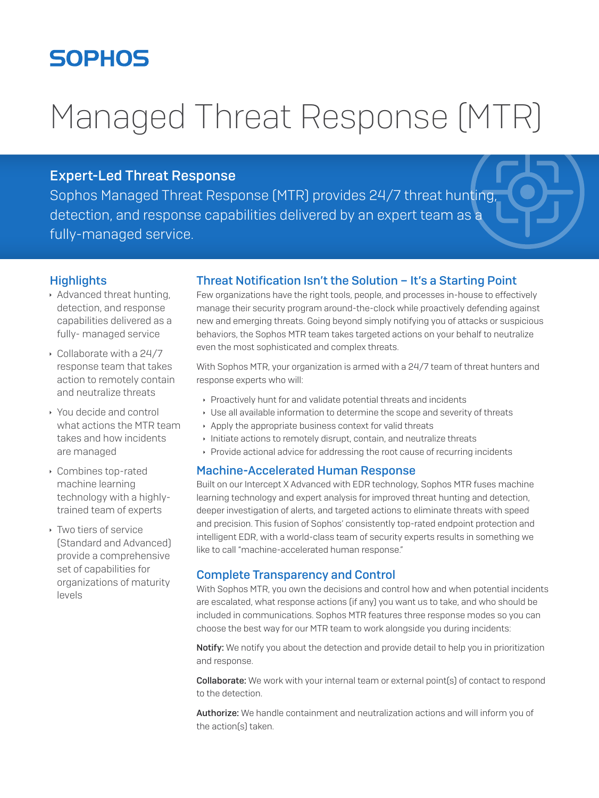# **SOPHOS**

# Managed Threat Response (MTR)

# Expert-Led Threat Response

Sophos Managed Threat Response (MTR) provides 24/7 threat hunting, detection, and response capabilities delivered by an expert team as a fully-managed service.

# **Highlights**

- $\rightarrow$  Advanced threat hunting, detection, and response capabilities delivered as a fully- managed service
- $\cdot$  Collaborate with a 24/7 response team that takes action to remotely contain and neutralize threats
- ▸ You decide and control what actions the MTR team takes and how incidents are managed
- **Combines top-rated** machine learning technology with a highlytrained team of experts
- $\rightarrow$  Two tiers of service (Standard and Advanced) provide a comprehensive set of capabilities for organizations of maturity levels

# Threat Notification Isn't the Solution – It's a Starting Point

Few organizations have the right tools, people, and processes in-house to effectively manage their security program around-the-clock while proactively defending against new and emerging threats. Going beyond simply notifying you of attacks or suspicious behaviors, the Sophos MTR team takes targeted actions on your behalf to neutralize even the most sophisticated and complex threats.

With Sophos MTR, your organization is armed with a 24/7 team of threat hunters and response experts who will:

- **Proactively hunt for and validate potential threats and incidents**
- **Use all available information to determine the scope and severity of threats**
- Apply the appropriate business context for valid threats
- $\cdot$  Initiate actions to remotely disrupt, contain, and neutralize threats
- **Provide actional advice for addressing the root cause of recurring incidents**

#### Machine-Accelerated Human Response

Built on our Intercept X Advanced with EDR technology, Sophos MTR fuses machine learning technology and expert analysis for improved threat hunting and detection, deeper investigation of alerts, and targeted actions to eliminate threats with speed and precision. This fusion of Sophos' consistently top-rated endpoint protection and intelligent EDR, with a world-class team of security experts results in something we like to call "machine-accelerated human response."

### Complete Transparency and Control

With Sophos MTR, you own the decisions and control how and when potential incidents are escalated, what response actions (if any) you want us to take, and who should be included in communications. Sophos MTR features three response modes so you can choose the best way for our MTR team to work alongside you during incidents:

Notify: We notify you about the detection and provide detail to help you in prioritization and response.

**Collaborate:** We work with your internal team or external point(s) of contact to respond to the detection.

Authorize: We handle containment and neutralization actions and will inform you of the action(s) taken.